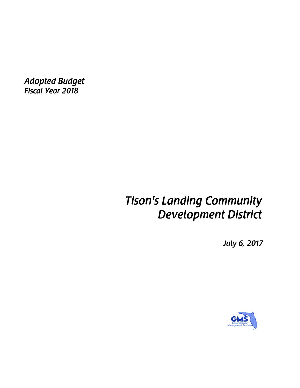*Adopted Budget Fiscal Year 2018* 

# *Tison's Landing Community Development District*

*July 6, 2017* 

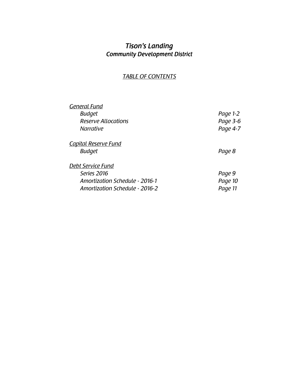## *Tison's Landing Community Development District*

## *TABLE OF CONTENTS*

| General Fund                          |          |
|---------------------------------------|----------|
| <b>Budget</b>                         | Page 1-2 |
| <b>Reserve Allocations</b>            | Page 3-6 |
| <i>Narrative</i>                      | Page 4-7 |
| <u>Capital Reserve Fund</u>           |          |
| <b>Budget</b>                         | Page 8   |
| Debt Service Fund                     |          |
| Series 2016                           | Page 9   |
| <b>Amortization Schedule - 2016-1</b> | Page 10  |
| <b>Amortization Schedule - 2016-2</b> | Page 11  |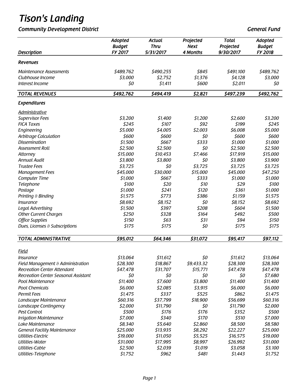**Community Development District General Fund** *Community Development District* **General Fund <b>General** Fund

|                                       | Adopted<br><b>Budget</b> | <b>Actual</b><br><b>Thru</b> | Projected<br><b>Next</b> | <b>Total</b><br>Projected | Adopted<br><b>Budget</b> |
|---------------------------------------|--------------------------|------------------------------|--------------------------|---------------------------|--------------------------|
| <b>Description</b>                    | FY 2017                  | 5/31/2017                    | 4 Months                 | 9/30/2017                 | FY 2018                  |
| <b>Revenues</b>                       |                          |                              |                          |                           |                          |
| <b>Maintenance Assessments</b>        | \$489,762                | \$490,255                    | \$845                    | \$491,100                 | \$489,762                |
| Clubhouse Income                      | \$3,000                  | \$2,752                      | \$1,376                  | \$4,128                   | \$3,000                  |
| Interest Income                       | \$0                      | \$1,411                      | \$600                    | \$2,011                   | \$0                      |
| <b>TOTAL REVENUES</b>                 | \$492,762                | \$494,419                    | \$2,821                  | \$497,239                 | \$492,762                |
| <b>Expenditures</b>                   |                          |                              |                          |                           |                          |
| <b>Administrative</b>                 |                          |                              |                          |                           |                          |
| <b>Supervisor Fees</b>                | \$3,200                  | \$1,400                      | \$1,200                  | \$2,600                   | \$3,200                  |
| <b>FICA Taxes</b>                     | \$245                    | \$107                        | \$92                     | \$199                     | \$245                    |
| Engineering                           | \$5,000                  | \$4,005                      | \$2,003                  | \$6,008                   | \$5,000                  |
| Arbitrage Calculation                 | \$600                    | \$600                        | \$0                      | \$600                     | \$600                    |
| <b>Dissemination</b>                  | \$1,500                  | \$667                        | \$333                    | \$1,000                   | \$1,000                  |
| <b>Assessment Roll</b>                | \$2,500                  | \$2,500                      | \$0                      | \$2,500                   | \$2,500                  |
| Attorney                              | \$15,000                 | \$10,453                     | \$7,466                  | \$17,919                  | \$15,000                 |
| <b>Annual Audit</b>                   | \$3,800                  | \$3,800                      | \$0                      | \$3,800                   | \$3,900                  |
| <b>Trustee Fees</b>                   | \$3,725                  | \$0                          | \$3,725                  | \$3,725                   | \$3,725                  |
| <b>Management Fees</b>                | \$45,000                 | \$30,000                     | \$15,000                 | \$45,000                  | \$47,250                 |
| <b>Computer Time</b>                  | \$1,000                  | \$667                        | \$333                    | \$1,000                   | \$1,000                  |
| Telephone                             | \$100                    | \$20                         | \$10                     | \$29                      | \$100                    |
| Postage                               | \$1,000                  | \$241                        | \$120                    | \$361                     | \$1,000                  |
| Printing & Binding                    | \$1,575                  | \$773                        | \$386                    | \$1,159                   | \$1,575                  |
| <i><b>Insurance</b></i>               | \$8,692                  | \$8,152                      | \$0                      | \$8,152                   | \$8,692                  |
| Legal Advertising                     | \$1,500                  | \$397                        | \$208                    | \$604                     | \$1,500                  |
| <b>Other Current Charges</b>          | \$250                    | \$328                        | \$164                    | \$492                     | \$500                    |
| <b>Office Supplies</b>                | \$150                    | \$63                         | \$31                     | \$94                      | \$150                    |
| Dues, Licenses & Subscriptions        | \$175                    | \$175                        | \$0                      | \$175                     | \$175                    |
| <b>TOTAL ADMINISTRATIVE</b>           | \$95,012                 | \$64,346                     | \$31,072                 | \$95,417                  | \$97,112                 |
| Field                                 |                          |                              |                          |                           |                          |
| Insurance                             | \$13,064                 | \$11,612                     | \$0                      | \$11,612                  | \$13,064                 |
| Field Management & Administration     | \$28,300                 | \$18,867                     | \$9,433.32               | \$28,300                  | \$28,300                 |
| <b>Recreation Center Attendant</b>    | \$47,478                 | \$31,707                     | \$15,771                 | \$47,478                  | \$47,478                 |
| Recreation Center Seasonal Assistant  | \$0                      | \$0                          | \$0                      | \$0                       | \$7,680                  |
| Pool Maintenance                      | \$11,400                 | \$7,600                      | \$3,800                  | \$11,400                  | \$11,400                 |
| <b>Pool Chemicals</b>                 | \$6,000                  | \$2,085                      | \$3,915                  | \$6,000                   | \$6,000                  |
| Permit Fees                           | \$1,475                  | \$337                        | \$525                    | \$862                     | \$1,475                  |
| Landscape Maintenance                 | \$60,316                 | \$37,799                     | \$18,900                 | \$56,699                  | \$60,316                 |
| Landscape Contingency                 | \$2,000                  | \$11,790                     | \$0                      | \$11,790                  | \$2,000                  |
| Pest Control                          | \$500                    | \$176                        | \$176                    | \$352                     | \$500                    |
| <b>Irrigation Maintenance</b>         | \$7,000                  | \$340                        | \$170                    | \$510                     | \$7,000                  |
|                                       |                          |                              |                          |                           |                          |
| Lake Maintenance                      | \$8,340<br>\$25,000      | \$5,640                      | \$2,860                  | \$8,500<br>\$22,227       | \$8,580                  |
| <b>General Facility Maintenance</b>   |                          | \$13,935                     | \$8,292                  |                           | \$25,000                 |
| Utilities-Electric<br>Utilities-Water | \$19,000                 | \$11,050                     | \$5,525                  | \$16,575                  | \$19,000                 |
| Utilities-Cable                       | \$31,000<br>\$2,500      | \$17,995<br>\$2,039          | \$8,997<br>\$1,019       | \$26,992<br>\$3,058       | \$31,000<br>\$3,100      |
| Utilities-Telephone                   | \$1,752                  | \$962                        | \$481                    | \$1,443                   | \$1,752                  |
|                                       |                          |                              |                          |                           |                          |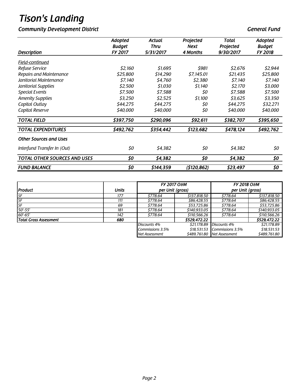## **Community Development District General Fund in the Community Development District General Fund**

| <b>Description</b>                  | <b>Adopted</b><br><b>Budget</b><br>FY 2017 | Actual<br>Thru<br>5/31/2017 | Projected<br><b>Next</b><br>4 Months | Total<br>Projected<br>9/30/2017 | Adopted<br><b>Budget</b><br>FY 2018 |
|-------------------------------------|--------------------------------------------|-----------------------------|--------------------------------------|---------------------------------|-------------------------------------|
| Field-continued                     |                                            |                             |                                      |                                 |                                     |
| Refuse Service                      | \$2,160                                    | \$1,695                     | \$981                                | \$2,676                         | \$2,944                             |
| Repairs and Maintenance             | \$25,800                                   | \$14,290                    | \$7,145.01                           | \$21,435                        | \$25,800                            |
| Janitorial Maintenance              | <i><b>\$7,140</b></i>                      | \$4,760                     | \$2,380                              | \$7,140                         | \$7,140                             |
| Janitorial Supplies                 | \$2,500                                    | \$1.030                     | \$1,140                              | \$2,170                         | \$3,000                             |
| <b>Special Events</b>               | \$7,500                                    | \$7,588                     | \$0                                  | \$7,588                         | \$7,500                             |
| <b>Amenity Supplies</b>             | \$3,250                                    | \$2,525                     | \$1,100                              | \$3,625                         | \$3,350                             |
| Capital Outlay                      | \$44,275                                   | \$44,275                    | 50                                   | \$44,275                        | \$32,271                            |
| Capital Reserve                     | \$40,000                                   | \$40,000                    | 50                                   | \$40,000                        | \$40,000                            |
| <b>TOTAL FIELD</b>                  | \$397,750                                  | \$290,096                   | \$92,611                             | \$382,707                       | \$395,650                           |
| <b>TOTAL EXPENDITURES</b>           | \$492,762                                  | \$354,442                   | \$123,682                            | \$478,124                       | \$492,762                           |
| <b>Other Sources and Uses</b>       |                                            |                             |                                      |                                 |                                     |
| Interfund Transfer In (Out)         | \$0                                        | \$4,382                     | \$0                                  | \$4,382                         | \$0                                 |
| <b>TOTAL OTHER SOURCES AND USES</b> | \$0                                        | \$4,382                     | \$0                                  | \$4,382                         | \$0                                 |
| <b>FUND BALANCE</b>                 | \$0                                        | \$144,359                   | (\$120,862)                          | \$23,497                        | \$0                                 |

|                        |              | <b>FY 2017 O&amp;M</b>               |              | <b>FY 2018 O&amp;M</b>      |              |
|------------------------|--------------|--------------------------------------|--------------|-----------------------------|--------------|
| <b>Product</b>         | <b>Units</b> | per Unit (gross)<br>per Unit (gross) |              |                             |              |
| SF                     | 177          | \$778.64                             | \$137,818.50 | \$778.64                    | \$137,818.50 |
| SF                     | 111          | \$778.64                             | \$86,428.55  | \$778.64                    | \$86,428.55  |
| <b>SF</b>              | 69           | \$778.64                             | \$53,725.86  | \$778.64                    | \$53,725.86  |
| $50' - 55'$            | 181          | \$778.64                             | \$140,933.05 | \$778.64                    | \$140,933.05 |
| $60' - 65'$            | 142          | \$778.64                             | \$110,566.26 | \$778.64                    | \$110,566.26 |
| Total Gross Assessment | 680          |                                      | \$529,472.22 |                             | \$529,472.22 |
|                        |              | Discounts 4%                         | \$21,178.89  | Discounts 4%                | \$21,178.89  |
|                        |              | Commissions 3.5%                     | \$18,531.53  | Commissions 3.5%            | \$18,531.53  |
|                        |              | Net Assessment                       |              | \$489,761.80 Net Assessment | \$489,761.80 |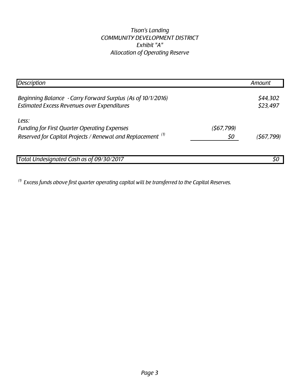## *Tison's Landing COMMUNITY DEVELOPMENT DISTRICT Exhibit "A" Allocation of Operating Reserve*

| <b>Description</b>                                                                                                          |                   | Amount               |
|-----------------------------------------------------------------------------------------------------------------------------|-------------------|----------------------|
| Beginning Balance - Carry Forward Surplus (As of 10/1/2016)<br><b>Estimated Excess Revenues over Expenditures</b>           |                   | \$44,302<br>\$23,497 |
| Less:<br><b>Funding for First Quarter Operating Expenses</b><br>Reserved for Capital Projects / Renewal and Replacement (1) | (\$67,799)<br>\$0 | (567, 799)           |
| Total Undesignated Cash as of 09/30/2017                                                                                    |                   | 50                   |

*(1) Excess funds above first quarter operating capital will be transferred to the Capital Reserves.*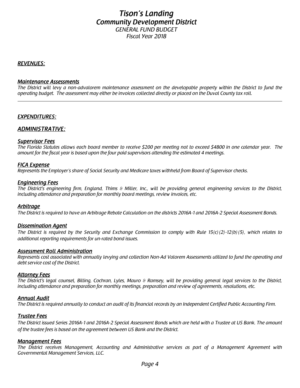## *Tison's Landing Community Development District GENERAL FUND BUDGET*

*Fiscal Year 2018* 

#### *REVENUES:*

#### *Maintenance Assessments*

 *The District will levy a non-advalorem maintenance assessment on the developable property within the District to fund the operating budget. The assessment may either be invoices collected directly or placed on the Duval County tax roll.* 

#### *EXPENDITURES:*

#### *ADMINISTRATIVE:*

#### *Supervisor Fees*

 *The Florida Statutes allows each board member to receive \$200 per meeting not to exceed \$4800 in one calendar year. The amount for the fiscal year is based upon the four paid supervisors attending the estimated 4 meetings.* 

#### *FICA Expense*

*Represents the Employer's share of Social Security and Medicare taxes withheld from Board of Supervisor checks.* 

#### *Engineering Fees*

 *including attendance and preparation for monthly board meetings, review invoices, etc. The District's engineering firm, England, Thims & Miller, Inc., will be providing general engineering services to the District,* 

#### *Arbitrage*

*The District is required to have an Arbitrage Rebate Calculation on the districts 2016A-1 and 2016A-2 Special Assessment Bonds.* 

#### *Dissemination Agent*

*The District is required by the Security and Exchange Commission to comply with Rule 15(c)(2)-12(b)(5), which relates to additional reporting requirements for un-rated bond issues.* 

#### *Assessment Roll Administration*

*Represents cost associated with annually levying and collection Non-Ad Valorem Assessments utilized to fund the operating and debt service cost of the District.* 

#### *Attorney Fees*

 *The District's legal counsel, Billing, Cochran, Lyles, Mauro & Ramsey, will be providing general legal services to the District, including attendance and preparation for monthly meetings, preparation and review of agreements, resolutions, etc.* 

#### *Annual Audit*

 *The District is required annually to conduct an audit of its financial records by an Independent Certified Public Accounting Firm.* 

#### *Trustee Fees*

*The District issued Series 2016A-1 and 2016A-2 Special Assessment Bonds which are held with a Trustee at US Bank. The amount of the trustee fees is based on the agreement between US Bank and the District.* 

#### *Management Fees*

 *The District receives Management, Accounting and Administrative services as part of a Management Agreement with Governmental Management Services, LLC.*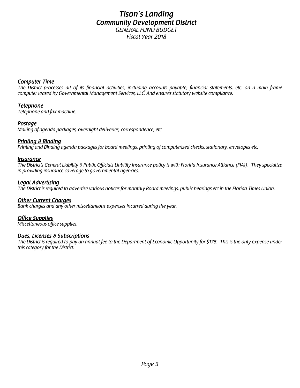## *Tison's Landing Community Development District GENERAL FUND BUDGET*

*Fiscal Year 2018* 

#### *Computer Time*

 *The District processes all of its financial activities, including accounts payable, financial statements, etc. on a main frame computer leased by Governmental Management Services, LLC. And ensures statutory website compliance.* 

#### *Telephone*

*Telephone and fax machine.* 

#### *Postage*

*Mailing of agenda packages, overnight deliveries, correspondence, etc* 

#### *Printing & Binding*

 *Printing and Binding agenda packages for board meetings, printing of computerized checks, stationary, envelopes etc.* 

#### *Insurance*

*The District's General Liability & Public Officials Liability Insurance policy is with Florida Insurance Alliance (FIA)). They specialize in providing insurance coverage to governmental agencies.* 

#### *Legal Advertising*

*The District is required to advertise various notices for monthly Board meetings, public hearings etc in the Florida Times Union.* 

#### *Other Current Charges*

*Bank charges and any other miscellaneous expenses incurred during the year.* 

#### *Office Supplies*

*Miscellaneous office supplies.* 

#### *Dues, Licenses & Subscriptions*

*The District is required to pay an annual fee to the Department of Economic Opportunity for \$175. This is the only expense under this category for the District.*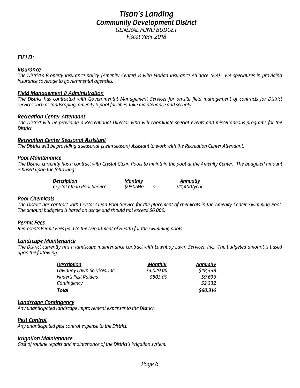### *Tison's Landing Community Development District GENERAL FUND BUDGET Fiscal Year 2018*

#### *FIELD:*

#### *Insurance*

 *The District's Property Insurance policy (Amenity Center) is with Florida Insurance Alliance (FIA). FIA specializes in providing insurance coverage to governmental agencies.* 

#### *Field Management & Administration*

*The District has contracted with Governmental Management Services for on-site field management of contracts for District services such as landscaping, amenity & pool facilities, lake maintenance and security.* 

#### *Recreation Center Attendant*

 *The District will be providing a Recreational Director who will coordinate special events and miscellaneous programs for the District.* 

#### *Recreation Center Seasonal Assistant*

 *The District will be providing a seasonal (swim season) Assistant to work with the Recreation Center Attendant.* 

#### *Pool Maintenance*

 *is based upon the following: The District currently has a contract with Crystal Clean Pools to maintain the pool at the Amenity Center. The budgeted amount* 

| <b>Description</b>         | <u>Monthly</u> |  |               |  |
|----------------------------|----------------|--|---------------|--|
| Crystal Clean Pool Service | <i>S950/Mo</i> |  | \$11,400/year |  |

#### *Pool Chemicals*

The District has contract with Crystal Clean Pool Service for the placement of chemicals in the Amenity Center Swimming Pool.<br>The amount budgeted is based on usage and should not exceed \$6,000.

#### *Permit Fees*

*Represents Permit Fees paid to the Department of Health for the swimming pools.* 

#### *Landscape Maintenance*

*The District currently has a landscape maintenance contract with Lawnboy Lawn Services, Inc. The budgeted amount is based upon the following:* 

| <b>Description</b>          | <u>Monthly</u> | <b>Annually</b> |
|-----------------------------|----------------|-----------------|
| Lawnboy Lawn Services, Inc. | \$4,029.00     | \$48,348        |
| Nader's Pest Raiders        | \$803.00       | \$9,636         |
| Contingency                 |                | \$2,332         |
| Total                       |                | \$60,316        |

#### *Landscape Contingency*

*Any unanticipated landscape improvement expenses to the District.* 

#### *Pest Control*

*Any unanticipated pest control expense to the District.* 

#### *Irrigation Maintenance*

*Cost of routine repairs and maintenance of the District's irrigation system.*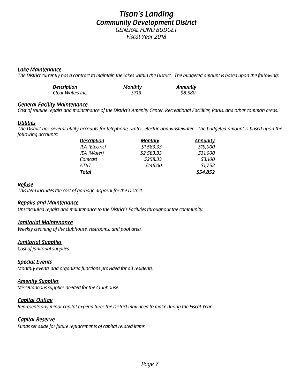### *Tison's Landing Community Development District GENERAL FUND BUDGET*

*Fiscal Year 2018* 

#### *Lake Maintenance*

*The District currently has a contract to maintain the lakes within the District. The budgeted amount is based upon the following:* 

| <b>Description</b> | <u>Monthlv</u> | <u>Annually</u> |
|--------------------|----------------|-----------------|
| Clear Waters Inc.  | S715           | \$8,580         |

#### *General Facility Maintenance*

*Cost of routine repairs and maintenance of the District's Amenity Center, Recreational Facilities, Parks, and other common areas.* 

#### *Utilities*

*The District has several utility accounts for telephone, water, electric and wastewater. The budgeted amount is based upon the following accounts:* 

| <b>Description</b>     | <b>Monthly</b> | <b>Annually</b> |
|------------------------|----------------|-----------------|
| JEA (Electric)         | \$1,583.33     | \$19,000        |
| JEA (Water)            | \$2,583.33     | \$31,000        |
| Comcast                | \$258.33       | \$3,100         |
| <b>AT<sub>8</sub>T</b> | \$146.00       | \$1,752         |
| <b>Total</b>           |                | \$54,852        |

#### *Refuse*

 *This item includes the cost of garbage disposal for the District.* 

#### *Repairs and Maintenance*

*Unscheduled repairs and maintenance to the District's Facilities throughout the community.* 

#### *Janitorial Maintenance*

*Weekly cleaning of the clubhouse, restrooms, and pool area.* 

#### *Janitorial Supplies*

*Cost of janitorial supplies.* 

#### *Special Events*

*Monthly events and organized functions provided for all residents.* 

#### *Amenity Supplies*

*Miscellaneous supplies needed for the Clubhouse.* 

#### *Capital Outlay*

*Represents any minor capital expenditures the District may need to make during the Fiscal Year.* 

#### *Capital Reserve*

*Funds set aside for future replacements of capital related items.*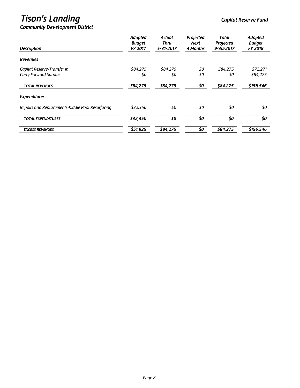## **Tison's Landing**  $\sum_{i=1}^{n} a_i$  and  $\sum_{i=1}^{n} a_i$  and  $\sum_{i=1}^{n} a_i$  and  $\sum_{i=1}^{n} a_i$  and  $\sum_{i=1}^{n} a_i$  and  $\sum_{i=1}^{n} a_i$  and  $\sum_{i=1}^{n} a_i$  and  $\sum_{i=1}^{n} a_i$  and  $\sum_{i=1}^{n} a_i$  and  $\sum_{i=1}^{n} a_i$  and  $\sum_{i=1}^{n} a_i$

| <b>Description</b>                               | Adopted<br><b>Budget</b><br><b>FY 2017</b> | <b>Actual</b><br>Thru<br>5/31/2017 | Projected<br>Next<br>4 Months | <b>Total</b><br>Projected<br>9/30/2017 | Adopted<br><b>Budget</b><br>FY 2018 |
|--------------------------------------------------|--------------------------------------------|------------------------------------|-------------------------------|----------------------------------------|-------------------------------------|
| <b>Revenues</b>                                  |                                            |                                    |                               |                                        |                                     |
| Capital Reserve-Transfer In                      | \$84,275                                   | \$84,275                           | \$0                           | \$84,275                               | \$72,271                            |
| <b>Carry Forward Surplus</b>                     | 50                                         | \$0                                | \$0                           | 50                                     | \$84,275                            |
| <b>TOTAL REVENUES</b>                            | \$84,275                                   | \$84,275                           | \$0                           | \$84,275                               | \$156,546                           |
| <b>Expenditures</b>                              |                                            |                                    |                               |                                        |                                     |
| Repairs and Replacements-Kiddie Pool Resurfacing | \$32,350                                   | \$0                                | \$0                           | \$0                                    | \$0                                 |
| <b>TOTAL EXPENDITURES</b>                        | \$32,350                                   | \$0                                | 50                            | \$0                                    | 50                                  |
| <b>EXCESS REVENUES</b>                           | \$51,925                                   | \$84,275                           | 50                            | \$84,275                               | \$156,546                           |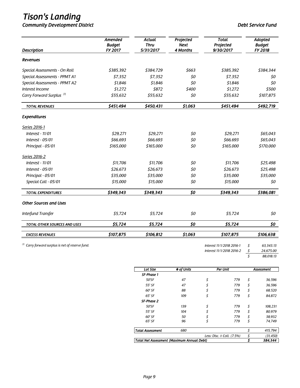*Community Development District Debt Service Fund* 

| <b>Description</b>                                           | Amended<br><b>Budget</b><br>FY 2017 | <b>Actual</b><br><b>Thru</b><br>5/31/2017 | Projected<br><b>Next</b><br>4 Months | <b>Total</b><br>Projected<br>9/30/2017 | Adopted<br><b>Budget</b><br>FY 2018 |
|--------------------------------------------------------------|-------------------------------------|-------------------------------------------|--------------------------------------|----------------------------------------|-------------------------------------|
| <b>Revenues</b>                                              |                                     |                                           |                                      |                                        |                                     |
| Special Assessments - On Roll                                | \$385,392                           | \$384,729                                 | \$663                                | \$385,392                              | \$384,344                           |
| Special Assessments - PPMT A1                                | \$7,352                             | \$7,352                                   | 50                                   | \$7,352                                | 50                                  |
| Special Assessments - PPMT A2                                | \$1,846                             | \$1,846                                   | \$0                                  | \$1,846                                | 50                                  |
| Interest Income                                              | \$1,272                             | \$872                                     | \$400                                | \$1,272                                | \$500                               |
| Carry Forward Surplus <sup>(1)</sup>                         | \$55,632                            | \$55,632                                  | \$0                                  | \$55,632                               | \$107,875                           |
| <b>TOTAL REVENUES</b>                                        | \$451,494                           | \$450,431                                 | \$1,063                              | \$451,494                              | \$492,719                           |
| <b>Expenditures</b>                                          |                                     |                                           |                                      |                                        |                                     |
| Series 2016-1                                                |                                     |                                           |                                      |                                        |                                     |
| Interest $-11/01$                                            | \$29,271                            | \$29,271                                  | \$0                                  | \$29,271                               | \$65,043                            |
| Interest $-05/01$                                            | \$66,693                            | \$66,693                                  | \$0                                  | \$66,693                               | \$65,043                            |
| Principal - 05/01                                            | \$165,000                           | \$165,000                                 | \$0                                  | \$165,000                              | \$170,000                           |
| Series 2016-2                                                |                                     |                                           |                                      |                                        |                                     |
| Interest - 11/01                                             | \$11,706                            | \$11,706                                  | \$0                                  | \$11,706                               | \$25,498                            |
| Interest $-05/01$                                            | \$26,673                            | \$26,673                                  | \$0                                  | \$26,673                               | \$25,498                            |
| Principal - 05/01                                            | \$35,000                            | \$35,000                                  | \$0                                  | \$35,000                               | \$35,000                            |
| Special Call - 05/01                                         | \$15,000                            | \$15,000                                  | \$0                                  | \$15,000                               | \$0                                 |
| <b>TOTAL EXPENDITURES</b>                                    | \$349,343                           | \$349,343                                 | \$0                                  | \$349,343                              | \$386,081                           |
| <b>Other Sources and Uses</b>                                |                                     |                                           |                                      |                                        |                                     |
| Interfund Transfer                                           | \$5,724                             | \$5,724                                   | \$0                                  | \$5,724                                | \$0                                 |
| TOTAL OTHER SOURCES AND USES                                 | \$5,724                             | \$5,724                                   | 50                                   | \$5,724                                | 50                                  |
| <b>EXCESS REVENUES</b>                                       | \$107,875                           | \$106,812                                 | \$1,063                              | \$107,875                              | \$106,638                           |
| $\binom{n}{k}$ Carry forward surplus is net of reserve fund. |                                     |                                           |                                      | Interest 11/1/2018 2016-1              | \$<br>63,343.13                     |

*Interest 11/1/2018 2016-2 \$ 24,675.00* 

*\$ 88,018.13* 

| <b>Lot Size</b>                            | # of Units |    | Per Unit                          | Assessment     |
|--------------------------------------------|------------|----|-----------------------------------|----------------|
| <b>SF-Phase 1</b>                          |            |    |                                   |                |
| 50'SF                                      | 47         | \$ | 779                               | \$<br>36,596   |
| 55' SF                                     | 47         | \$ | 779                               | \$<br>36,596   |
| 60' SF                                     | 88         | \$ | 779                               | \$<br>68,520   |
| $65'$ SF                                   | 109        | \$ | 779                               | \$<br>84.872   |
| SF-Phase 2                                 |            |    |                                   |                |
| 50'SF                                      | 139        | \$ | 779                               | \$<br>108.231  |
| 55' SF                                     | 104        | \$ | 779                               | \$<br>80.979   |
| 60' SF                                     | 50         |    | 779                               | 38.932         |
| $65'$ SF                                   | 96         | \$ | 779                               | \$<br>74,749   |
| <b>Total Assessment</b>                    | 680        |    |                                   | 415,794        |
|                                            |            |    | Less: Disc. $\theta$ Coll. (7.5%) | \$<br>(31,450) |
| Total Net Assessment (Maximum Annual Debt) |            |    | 384,344                           |                |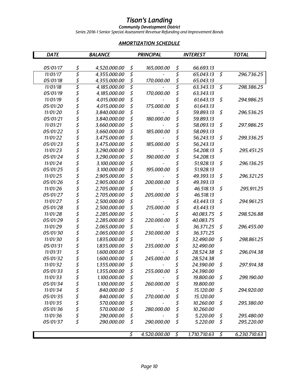#### *Community Development District*

*Series 2016-1 Senior Special Assessment Revenue Refunding and Improvement Bonds* 

### *AMORTIZATION SCHEDULE*

| <b>DATE</b> |        | <b>BALANCE</b> | <b>PRINCIPAL</b>   |    | <b>INTEREST</b> |                          | <b>TOTAL</b> |  |
|-------------|--------|----------------|--------------------|----|-----------------|--------------------------|--------------|--|
|             |        |                |                    |    |                 |                          |              |  |
| 05/01/17    | \$     | 4,520,000.00   | \$<br>165,000.00   | \$ | 66,693.13       |                          |              |  |
| 11/01/17    | \$     | 4,355,000.00   | \$                 | \$ | 65,043.13       | $\overline{\mathcal{S}}$ | 296,736.25   |  |
| 05/01/18    | \$     | 4,355,000.00   | \$<br>170,000.00   | \$ | 65,043.13       |                          |              |  |
| 11/01/18    | \$     | 4,185,000.00   | \$                 | \$ | 63,343.13       | $\overline{\mathcal{S}}$ | 298,386.25   |  |
| 05/01/19    | \$     | 4,185,000.00   | \$<br>170,000.00   | \$ | 63,343.13       |                          |              |  |
| 11/01/19    | \$     | 4,015,000.00   | \$                 | \$ | 61,643.13       | \$                       | 294,986.25   |  |
| 05/01/20    | \$     | 4,015,000.00   | \$<br>175,000.00   | \$ | 61,643.13       |                          |              |  |
| 11/01/20    | \$     | 3,840,000.00   | \$                 |    | 59,893.13       | \$                       | 296,536.25   |  |
| 05/01/21    | \$     | 3,840,000.00   | \$<br>180,000.00   | \$ | 59,893.13       |                          |              |  |
| 11/01/21    | \$     | 3,660,000.00   | \$                 | \$ | 58,093.13       | \$                       | 297,986.25   |  |
| 05/01/22    | \$     | 3,660,000.00   | \$<br>185,000.00   | \$ | 58,093.13       |                          |              |  |
| 11/01/22    | \$     | 3,475,000.00   | \$                 | \$ | 56,243.13       | \$                       | 299,336.25   |  |
| 05/01/23    | \$     | 3,475,000.00   | \$<br>185,000.00   | \$ | 56,243.13       |                          |              |  |
| 11/01/23    | \$     | 3,290,000.00   | \$                 |    | 54,208.13       | \$                       | 295,451.25   |  |
| 05/01/24    | \$     | 3,290,000.00   | \$<br>190,000.00   | \$ | 54,208.13       |                          |              |  |
| 11/01/24    | \$     | 3,100,000.00   | \$                 | \$ | 51,928.13       | \$                       | 296,136.25   |  |
| 05/01/25    | \$     | 3,100,000.00   | \$<br>195,000.00   | \$ | 51,928.13       |                          |              |  |
| 11/01/25    | \$     | 2,905,000.00   | \$                 | \$ | 49,393.13       | \$                       | 296,321.25   |  |
| 05/01/26    | \$     | 2,905,000.00   | \$<br>200,000.00   | \$ | 49,393.13       |                          |              |  |
| 11/01/26    | \$     | 2,705,000.00   | \$                 |    | 46,518.13       | \$                       | 295,911.25   |  |
| 05/01/27    | \$     | 2,705,000.00   | \$<br>205,000.00   | \$ | 46,518.13       |                          |              |  |
| 11/01/27    | \$     | 2,500,000.00   | \$                 | \$ | 43,443.13       | \$                       | 294,961.25   |  |
| 05/01/28    | \$     | 2,500,000.00   | \$<br>215,000.00   | \$ | 43,443.13       |                          |              |  |
| 11/01/28    | \$     | 2,285,000.00   | \$                 | \$ | 40,083.75       | \$                       | 298,526.88   |  |
| 05/01/29    | \$     | 2,285,000.00   | \$<br>220,000.00   | \$ | 40,083.75       |                          |              |  |
| 11/01/29    | \$     | 2,065,000.00   | \$                 | \$ | 36,371.25       | \$                       | 296,455.00   |  |
| 05/01/30    | \$     | 2,065,000.00   | \$<br>230,000.00   | \$ | 36,371.25       |                          |              |  |
| 11/01/30    | \$     | 1,835,000.00   | \$                 | \$ | 32,490.00       | \$                       | 298,861.25   |  |
| 05/01/31    | \$     | 1,835,000.00   | \$<br>235,000.00   | \$ | 32,490.00       |                          |              |  |
| 11/01/31    | \$     | 1,600,000.00   | \$                 | \$ | 28,524.38       | \$                       | 296,014.38   |  |
| 05/01/32    | \$     | 1,600,000.00   | \$<br>245,000.00   | \$ | 28,524.38       |                          |              |  |
| 11/01/32    | \$     | 1,355,000.00   | \$                 |    | 24,390.00       | \$                       | 297,914.38   |  |
| 05/01/33    | \$     | 1,355,000.00   | \$<br>255,000.00   | \$ | 24,390.00       |                          |              |  |
| 11/01/33    | \$     | 1,100,000.00   | \$                 | \$ | 19,800.00       | \$                       | 299,190.00   |  |
| 05/01/34    |        | 1,100,000.00   | \$<br>260,000.00   | \$ | 19,800.00       |                          |              |  |
| 11/01/34    |        | 840,000.00     | \$                 | \$ | 15,120.00       | \$                       | 294,920.00   |  |
| 05/01/35    |        | 840,000.00     | \$<br>270,000.00   | \$ | 15,120.00       |                          |              |  |
| 11/01/35    | \$\$\$ | 570,000.00     | \$                 | \$ | 10,260.00       | \$                       | 295,380.00   |  |
| 05/01/36    | \$     | 570,000.00     | \$<br>280,000.00   | \$ | 10,260.00       |                          |              |  |
| 11/01/36    | \$     | 290,000.00     | \$                 | \$ | 5,220.00        | \$                       | 295,480.00   |  |
| 05/01/37    | \$     | 290,000.00     | \$<br>290,000.00   | \$ | 5,220.00        | \$                       | 295,220.00   |  |
|             |        |                |                    |    |                 |                          |              |  |
|             |        |                | \$<br>4,520,000.00 | \$ | 1,710,710.63    | \$                       | 6,230,710.63 |  |